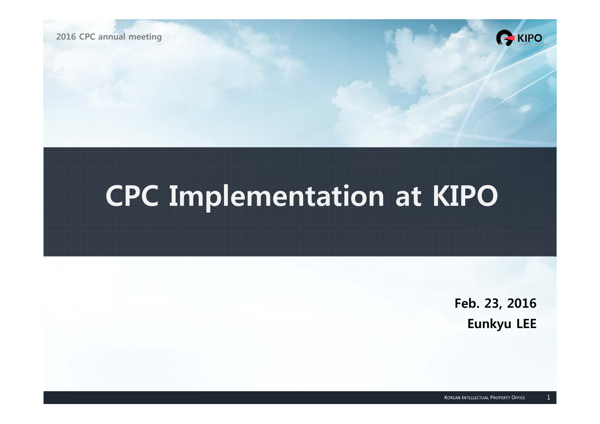

# **CPC Implementation at KIPO**

**Feb. 23, 2016 Eunkyu LEE**

GKIPO

 $\mathbf{1}$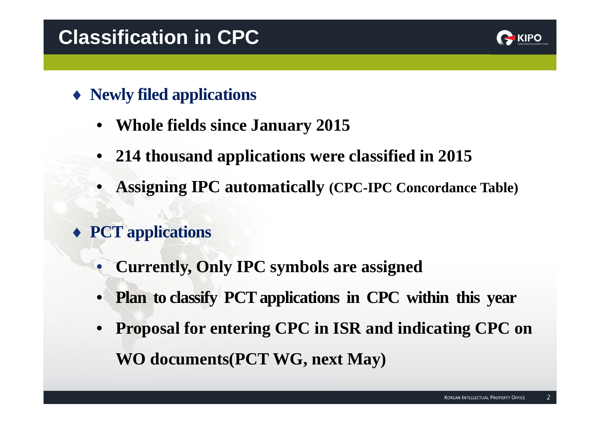# **Classification in CPC**



- **Newly filed applications**
	- •**Whole fields since January 2015**
	- •**214 thousand applications were classified in 2015**
	- •**Assigning IPC automatically (CPC-IPC Concordance Table)**
- **PCT applications**
	- •**Currently, Only IPC symbols are assigned**
	- •**Plan to classify PCT applications in CPC within this year**
	- • **Proposal for entering CPC in ISR and indicating CPC on WO documents(PCT WG, next May)**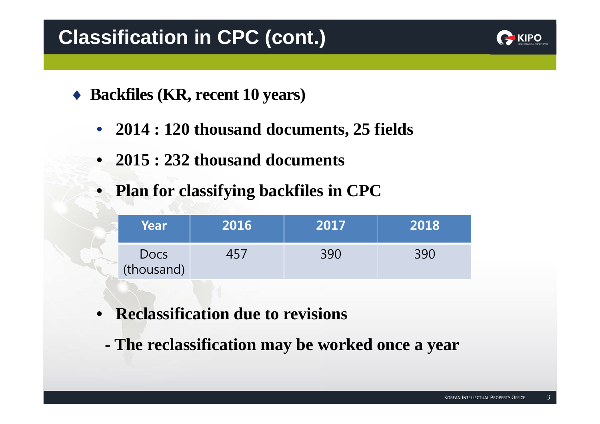# **Classification in CPC (cont.)**



- ◆ Backfiles (KR, recent 10 years)
	- **2014 : 120 thousand documents, 25 fields**
	- **2015 : 232 thousand documents**
	- **Plan for classifying backfiles in CPC**

| Year                      | 2016 | 2017 | 2018 |
|---------------------------|------|------|------|
| <b>Docs</b><br>(thousand) |      | 390  | 390  |

- • **Reclassification due to revisions**
	- **- The reclassification may be worked once a year**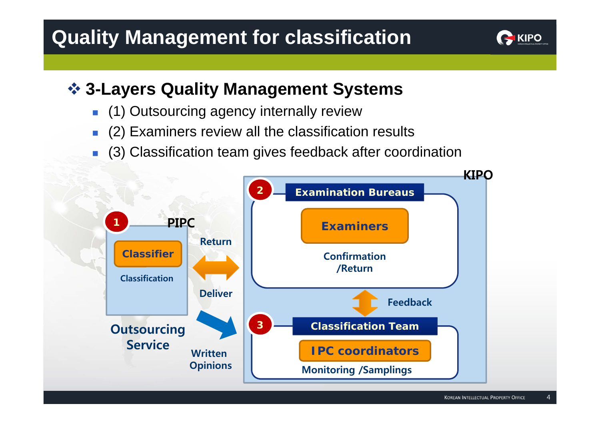# **Quality Management for classification**



#### **3-Layers Quality Management Systems**

- $\overline{\phantom{a}}$ (1) Outsourcing agency internally review
- $\overline{\mathbb{R}}$ (2) Examiners review all the classification results
- $\overline{\phantom{a}}$ (3) Classification team gives feedback after coordination



 $\overline{4}$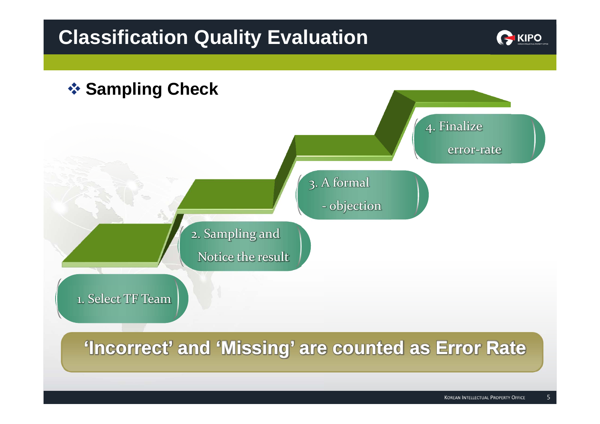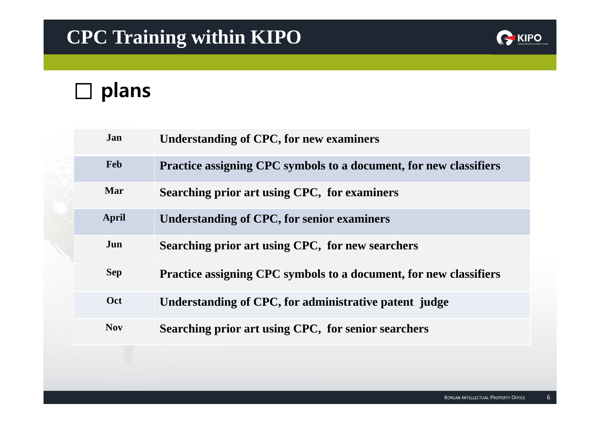# **CPC Training within KIPO**



# **□ plans**

| Jan          | <b>Understanding of CPC, for new examiners</b>                           |
|--------------|--------------------------------------------------------------------------|
| <b>Feb</b>   | <b>Practice assigning CPC symbols to a document, for new classifiers</b> |
| Mar          | Searching prior art using CPC, for examiners                             |
| <b>April</b> | <b>Understanding of CPC, for senior examiners</b>                        |
| Jun          | Searching prior art using CPC, for new searchers                         |
| <b>Sep</b>   | Practice assigning CPC symbols to a document, for new classifiers        |
| Oct          | Understanding of CPC, for administrative patent judge                    |
| <b>Nov</b>   | Searching prior art using CPC, for senior searchers                      |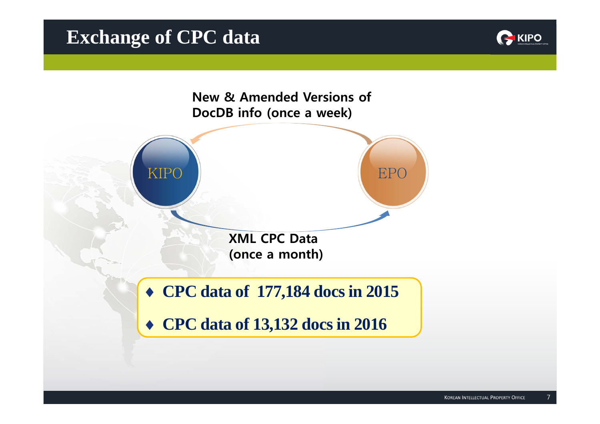#### **Exchange of CPC data**